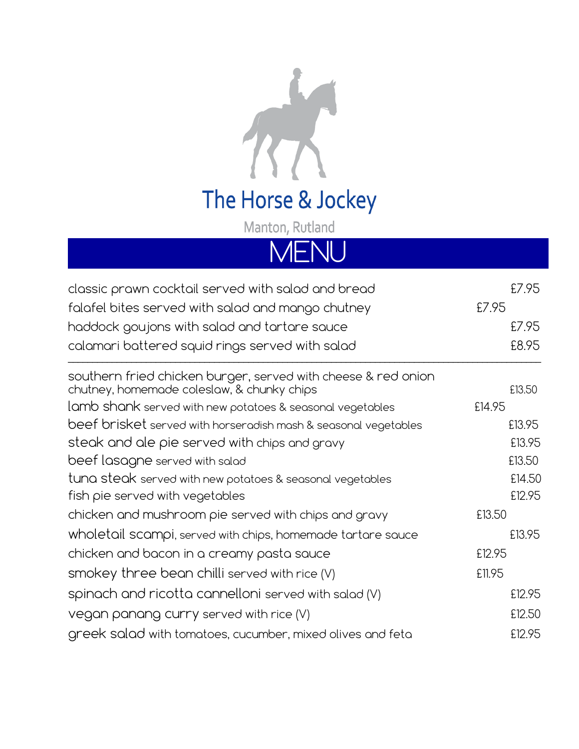

The Horse & Jockey

Manton, Rutland

## MENU

| classic prawn cocktail served with salad and bread                                                          | £7.95  |
|-------------------------------------------------------------------------------------------------------------|--------|
| falafel bites served with salad and mango chutney                                                           | £7.95  |
| haddock goujons with salad and tartare sauce                                                                | £7.95  |
| calamari battered squid rings served with salad                                                             | £8.95  |
| southern fried chicken burger, served with cheese & red onion<br>chutney, homemade coleslaw, & chunky chips | £13.50 |
| lamb shank served with new potatoes & seasonal vegetables                                                   | £14.95 |
| beef brisket served with horseradish mash & seasonal vegetables                                             | £13.95 |
| steak and ale pie served with chips and gravy                                                               | £13.95 |
| beef lasagne served with salad                                                                              | £13.50 |
| tuna steak served with new potatoes & seasonal vegetables                                                   | £14.50 |
| fish pie served with vegetables                                                                             | £12.95 |
| chicken and mushroom pie served with chips and gravy                                                        | £13.50 |
| wholetail scampi, served with chips, homemade tartare sauce                                                 | £13.95 |
| chicken and bacon in a creamy pasta sauce                                                                   | £12.95 |
| smokey three bean chilli served with rice $(V)$                                                             | £11.95 |
| spinach and ricotta cannelloni served with salad (V)                                                        | £12.95 |
| vegan panang curry served with rice (V)                                                                     | £12.50 |
| greek salad with tomatoes, cucumber, mixed olives and feta                                                  | £12.95 |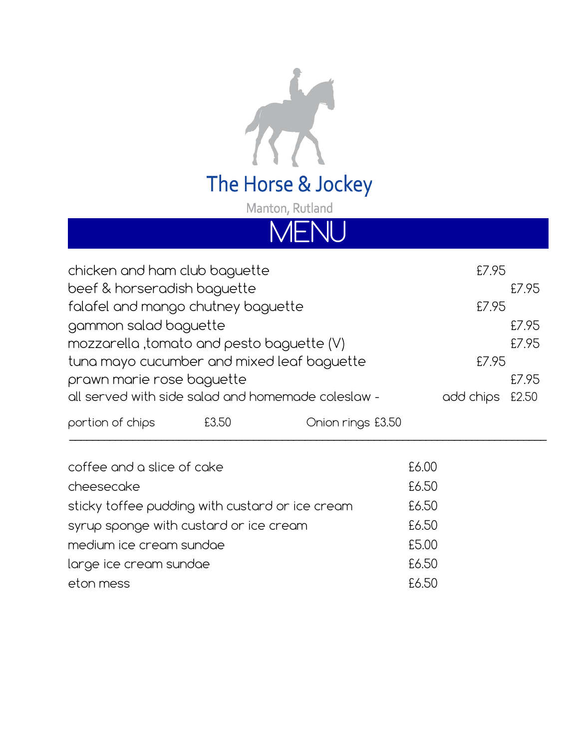

Manton, Rutland

MEN

| chicken and ham club baguette              |       |                                                    | £7.95     |       |
|--------------------------------------------|-------|----------------------------------------------------|-----------|-------|
| beef & horseradish baguette                |       |                                                    |           | £7.95 |
| falafel and mango chutney baguette         |       |                                                    | £7.95     |       |
| gammon salad baguette                      |       |                                                    |           | £7.95 |
| mozzarella , tomato and pesto baguette (V) |       |                                                    |           | £7.95 |
| tuna mayo cucumber and mixed leaf baguette |       |                                                    | £7.95     |       |
| prawn marie rose baguette                  |       |                                                    |           | £7.95 |
|                                            |       | all served with side salad and homemade coleslaw - | add chips | £2.50 |
| portion of chips                           | £3.50 | Onion rings £3.50                                  |           |       |
|                                            |       |                                                    |           |       |

| coffee and a slice of cake                      | £6.00 |
|-------------------------------------------------|-------|
| cheesecake                                      | £6.50 |
| sticky toffee pudding with custard or ice cream | £6.50 |
| syrup sponge with custard or ice cream          | £6.50 |
| medium ice cream sundae                         | £5.00 |
| large ice cream sundae                          | £6.50 |
| eton mess                                       | £6.50 |
|                                                 |       |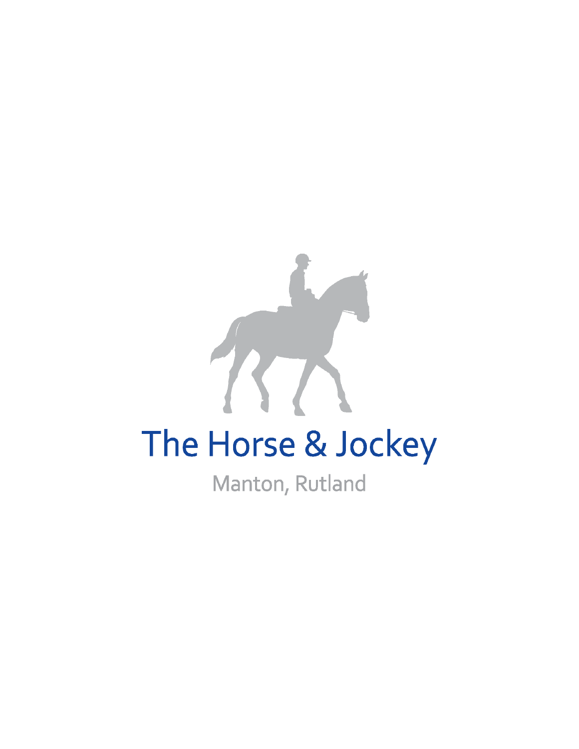## The Horse & Jockey

Manton, Rutland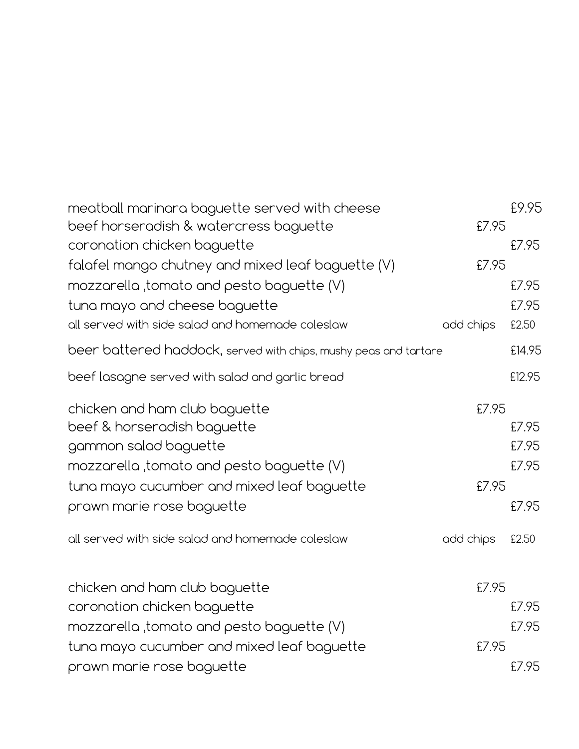| meatball marinara baguette served with cheese<br>beef horseradish & watercress baguette | £7.95     | £9.95  |
|-----------------------------------------------------------------------------------------|-----------|--------|
| coronation chicken baguette                                                             |           | £7.95  |
| falafel mango chutney and mixed leaf baguette (V)                                       | £7.95     |        |
| mozzarella ,tomato and pesto baguette (V)                                               |           | £7.95  |
| tuna mayo and cheese baguette                                                           |           | £7.95  |
| all served with side salad and homemade coleslaw                                        | add chips | £2.50  |
| beer battered haddock, served with chips, mushy peas and tartare                        |           | £14.95 |
| beef lasagne served with salad and garlic bread                                         |           | £12.95 |
| chicken and ham club baguette                                                           | £7.95     |        |
| beef & horseradish baguette                                                             |           | £7.95  |
| gammon salad baguette                                                                   |           | £7.95  |
| mozzarella ,tomato and pesto baguette (V)                                               |           | £7.95  |
| tuna mayo cucumber and mixed leaf baguette                                              | £7.95     |        |
| prawn marie rose baguette                                                               |           | £7.95  |
| all served with side salad and homemade coleslaw                                        | add chips | £2.50  |
| chicken and ham club baguette                                                           | £7.95     |        |
| coronation chicken baguette                                                             |           | £7.95  |
| mozzarella ,tomato and pesto baguette (V)                                               |           | £7.95  |
| tuna mayo cucumber and mixed leaf baguette                                              | £7.95     |        |
| prawn marie rose baguette                                                               |           | £7.95  |